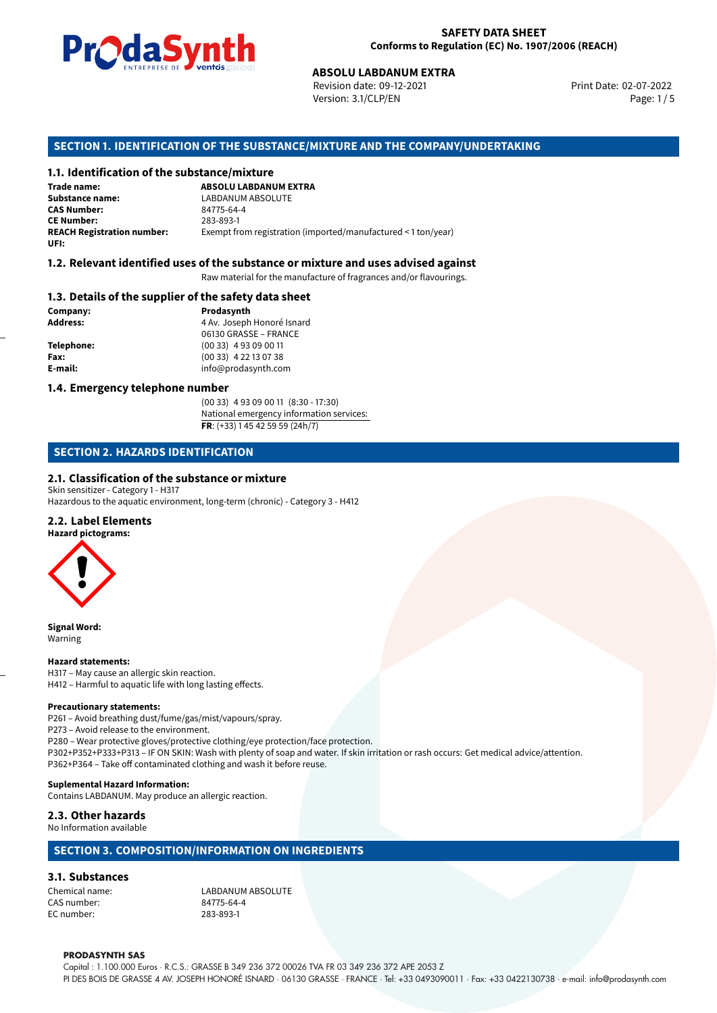

Revision date: 09-12-2021 Version: 3.1/CLP/EN Page: 1 / 5

Print Date: 02-07-2022

## **SECTION 1. IDENTIFICATION OF THE SUBSTANCE/MIXTURE AND THE COMPANY/UNDERTAKING**

#### **1.1. Identification of the substance/mixture**

**ABSOLU LABDANUM EXTRA**<br>
Revision date: 09-12-2021<br>
Version: 3.1/CLP/EN<br> **OF THE SUBSTANCE/MIXTURE AND THE COMPAN**<br> **tance/mixture**<br>
ABSOLU LABDANUM EXTRA **Trade name: Substance name:** LABDANUM ABSOLUTE<br>
CAS Number: 24775-64-4 **CAS Number:** 84775-64-4 **CE Number:** 283-893-1<br>**REACH Registration number:** Exempt from Exempt from registration (imported/manufactured < 1 ton/year) **UFI:**

#### **1.2. Relevant identified uses of the substance or mixture and uses advised against**

Raw material for the manufacture of fragrances and/or flavourings.

#### **1.3. Details of the supplier of the safety data sheet**

**Company: Prodasynth Prodasynth Address:** 4 Av. Joseph **Address:** 4 Av. Joseph Honoré Isnard 06130 GRASSE – FRANCE **Telephone:** (00 33) 4 93 09 00 11 **Fax:** (00 33) 4 22 13 07 38 **E-mail:** info@prodasynth.com

#### **1.4. Emergency telephone number**

(00 33) 4 93 09 00 11 (8:30 - 17:30) National emergency information services: **FR**: (+33) 1 45 42 59 59 (24h/7)

# **SECTION 2. HAZARDS IDENTIFICATION**

#### **2.1. Classification of the substance or mixture**

Skin sensitizer - Category 1 - H317

Hazardous to the aquatic environment, long-term (chronic) - Category 3 - H412

### **2.2. Label Elements**

**Hazard pictograms:**



**Signal Word:** Warning

#### **Hazard statements:**

H317 – May cause an allergic skin reaction. H412 – Harmful to aquatic life with long lasting effects.

#### **Precautionary statements:**

P261 – Avoid breathing dust/fume/gas/mist/vapours/spray. P273 – Avoid release to the environment. P280 – Wear protective gloves/protective clothing/eye protection/face protection. P302+P352+P333+P313 – IF ON SKIN: Wash with plenty of soap and water. If skin irritation or rash occurs: Get medical advice/attention. P362+P364 – Take off contaminated clothing and wash it before reuse. **Suplemental Hazard Information:**

Contains LABDANUM. May produce an allergic reaction.

#### **2.3. Other hazards**

No Information available

#### **SECTION 3. COMPOSITION/INFORMATION ON INGREDIENTS**

# **3.1. Substances**

CAS number: EC number: 283-893-1

Chemical name:<br>
CAS number: 
CAS number:<br>
CAS number:

#### **PRODASYNTH SAS**

Capital : 1.100.000 Euros · R.C.S.: GRASSE B 349 236 372 00026 TVA FR 03 349 236 372 APE 2053 Z PI DES BOIS DE GRASSE 4 AV. JOSEPH HONORÉ ISNARD · 06130 GRASSE · FRANCE · Tel: +33 0493090011 · Fax: +33 0422130738 · e-mail: info@prodasynth.com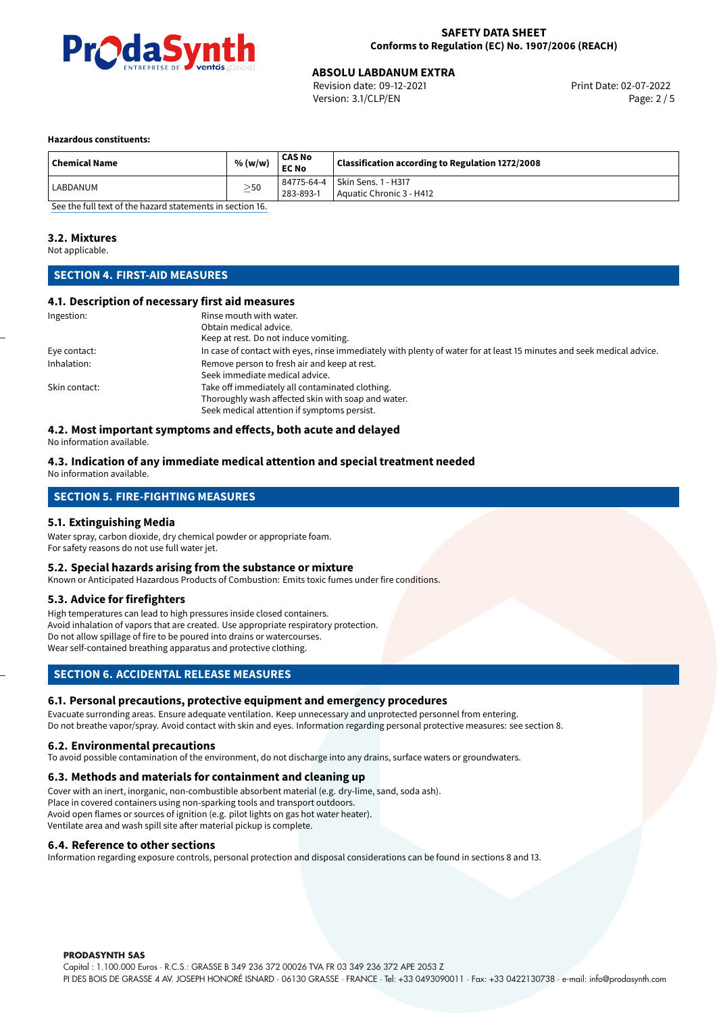

Revision date: 09-12-2021 Version: 3.1/CLP/EN Page: 2 / 5

#### **Hazardous constituents:**

| 84775-64-4 Skin Sens. 1 - H317 | <b>Chemical Name</b> | % (w/w)   | <b>CAS No</b><br><b>EC No</b> | Classification according to Regulation 1272/2008 |
|--------------------------------|----------------------|-----------|-------------------------------|--------------------------------------------------|
|                                | LABDANUM             | $\geq$ 50 | 283-893-1                     | Aquatic Chronic 3 - H412                         |

[See the full text of the hazard statements in section 16.](#page-4-0)

#### **3.2. Mixtures**

Not applicable.

# **SECTION 4. FIRST-AID MEASURES**

#### **4.1. Description of necessary first aid measures**

| Ingestion:    | Rinse mouth with water.                                                                                               |
|---------------|-----------------------------------------------------------------------------------------------------------------------|
|               | Obtain medical advice.                                                                                                |
|               | Keep at rest. Do not induce vomiting.                                                                                 |
| Eye contact:  | In case of contact with eyes, rinse immediately with plenty of water for at least 15 minutes and seek medical advice. |
| Inhalation:   | Remove person to fresh air and keep at rest.                                                                          |
|               | Seek immediate medical advice.                                                                                        |
| Skin contact: | Take off immediately all contaminated clothing.                                                                       |
|               | Thoroughly wash affected skin with soap and water.                                                                    |
|               | Seek medical attention if symptoms persist.                                                                           |

#### **4.2. Most important symptoms and effects, both acute and delayed**

No information available.

#### **4.3. Indication of any immediate medical attention and special treatment needed** No information available.

# **SECTION 5. FIRE-FIGHTING MEASURES**

#### **5.1. Extinguishing Media**

Water spray, carbon dioxide, dry chemical powder or appropriate foam. For safety reasons do not use full water jet.

#### **5.2. Special hazards arising from the substance or mixture**

Known or Anticipated Hazardous Products of Combustion: Emits toxic fumes under fire conditions.

#### **5.3. Advice for firefighters**

High temperatures can lead to high pressures inside closed containers. Avoid inhalation of vapors that are created. Use appropriate respiratory protection. Do not allow spillage of fire to be poured into drains or watercourses. Wear self-contained breathing apparatus and protective clothing.

#### **SECTION 6. ACCIDENTAL RELEASE MEASURES**

#### **6.1. Personal precautions, protective equipment and emergency procedures**

Evacuate surronding areas. Ensure adequate ventilation. Keep unnecessary and unprotected personnel from entering. Do not breathe vapor/spray. Avoid contact with skin and eyes. Information regarding personal protective measures: see section 8.

#### **6.2. Environmental precautions**

To avoid possible contamination of the environment, do not discharge into any drains, surface waters or groundwaters.

#### **6.3. Methods and materials for containment and cleaning up**

Cover with an inert, inorganic, non-combustible absorbent material (e.g. dry-lime, sand, soda ash). Place in covered containers using non-sparking tools and transport outdoors. Avoid open flames or sources of ignition (e.g. pilot lights on gas hot water heater). Ventilate area and wash spill site after material pickup is complete.

#### **6.4. Reference to other sections**

Information regarding exposure controls, personal protection and disposal considerations can be found in sections 8 and 13.

**PRODASYNTH SAS**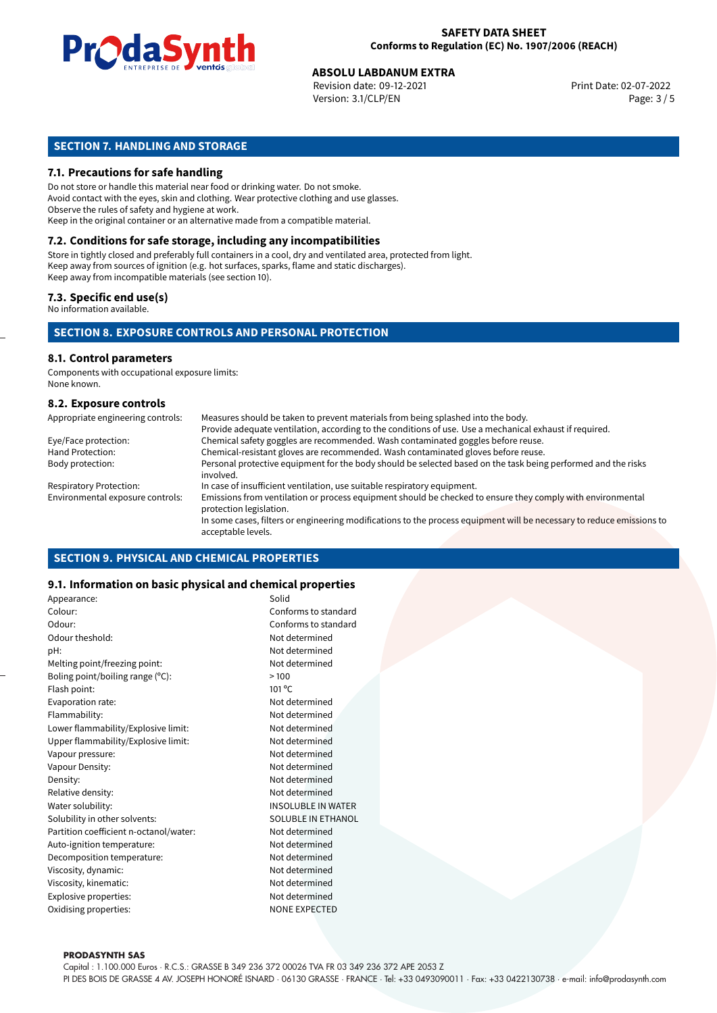

Revision date: 09-12-2021 Version: 3.1/CLP/EN Page: 3 / 5

# **SECTION 7. HANDLING AND STORAGE**

#### **7.1. Precautions for safe handling**

Do not store or handle this material near food or drinking water. Do not smoke. Avoid contact with the eyes, skin and clothing. Wear protective clothing and use glasses. Observe the rules of safety and hygiene at work. Keep in the original container or an alternative made from a compatible material.

# **7.2. Conditions for safe storage, including any incompatibilities**

Store in tightly closed and preferably full containers in a cool, dry and ventilated area, protected from light. Keep away from sources of ignition (e.g. hot surfaces, sparks, flame and static discharges). Keep away from incompatible materials (see section 10).

#### **7.3. Specific end use(s)**

No information available.

#### **SECTION 8. EXPOSURE CONTROLS AND PERSONAL PROTECTION**

# **8.1. Control parameters**

Components with occupational exposure limits: None known.

#### **8.2. Exposure controls**

| Appropriate engineering controls: | Measures should be taken to prevent materials from being splashed into the body.                                                            |
|-----------------------------------|---------------------------------------------------------------------------------------------------------------------------------------------|
|                                   | Provide adequate ventilation, according to the conditions of use. Use a mechanical exhaust if required.                                     |
| Eye/Face protection:              | Chemical safety goggles are recommended. Wash contaminated goggles before reuse.                                                            |
| Hand Protection:                  | Chemical-resistant gloves are recommended. Wash contaminated gloves before reuse.                                                           |
| Body protection:                  | Personal protective equipment for the body should be selected based on the task being performed and the risks<br>involved.                  |
| <b>Respiratory Protection:</b>    | In case of insufficient ventilation, use suitable respiratory equipment.                                                                    |
| Environmental exposure controls:  | Emissions from ventilation or process equipment should be checked to ensure they comply with environmental<br>protection legislation.       |
|                                   | In some cases, filters or engineering modifications to the process equipment will be necessary to reduce emissions to<br>acceptable levels. |

#### **SECTION 9. PHYSICAL AND CHEMICAL PROPERTIES**

#### **9.1. Information on basic physical and chemical properties**

| Appearance:                            | Solid                     |
|----------------------------------------|---------------------------|
| Colour:                                | Conforms to standard      |
| Odour:                                 | Conforms to standard      |
| Odour theshold:                        | Not determined            |
| pH:                                    | Not determined            |
| Melting point/freezing point:          | Not determined            |
| Boling point/boiling range (°C):       | >100                      |
| Flash point:                           | 101 °C                    |
| Evaporation rate:                      | Not determined            |
| Flammability:                          | Not determined            |
| Lower flammability/Explosive limit:    | Not determined            |
| Upper flammability/Explosive limit:    | Not determined            |
| Vapour pressure:                       | Not determined            |
| Vapour Density:                        | Not determined            |
| Density:                               | Not determined            |
| Relative density:                      | Not determined            |
| Water solubility:                      | <b>INSOLUBLE IN WATER</b> |
| Solubility in other solvents:          | SOLUBLE IN ETHANOL        |
| Partition coefficient n-octanol/water: | Not determined            |
| Auto-ignition temperature:             | Not determined            |
| Decomposition temperature:             | Not determined            |
| Viscosity, dynamic:                    | Not determined            |
| Viscosity, kinematic:                  | Not determined            |
| Explosive properties:                  | Not determined            |
| Oxidising properties:                  | <b>NONE EXPECTED</b>      |

#### **PRODASYNTH SAS**

Capital : 1.100.000 Euros · R.C.S.: GRASSE B 349 236 372 00026 TVA FR 03 349 236 372 APE 2053 Z PI DES BOIS DE GRASSE 4 AV. JOSEPH HONORÉ ISNARD · 06130 GRASSE · FRANCE · Tel: +33 0493090011 · Fax: +33 0422130738 · e-mail: info@prodasynth.com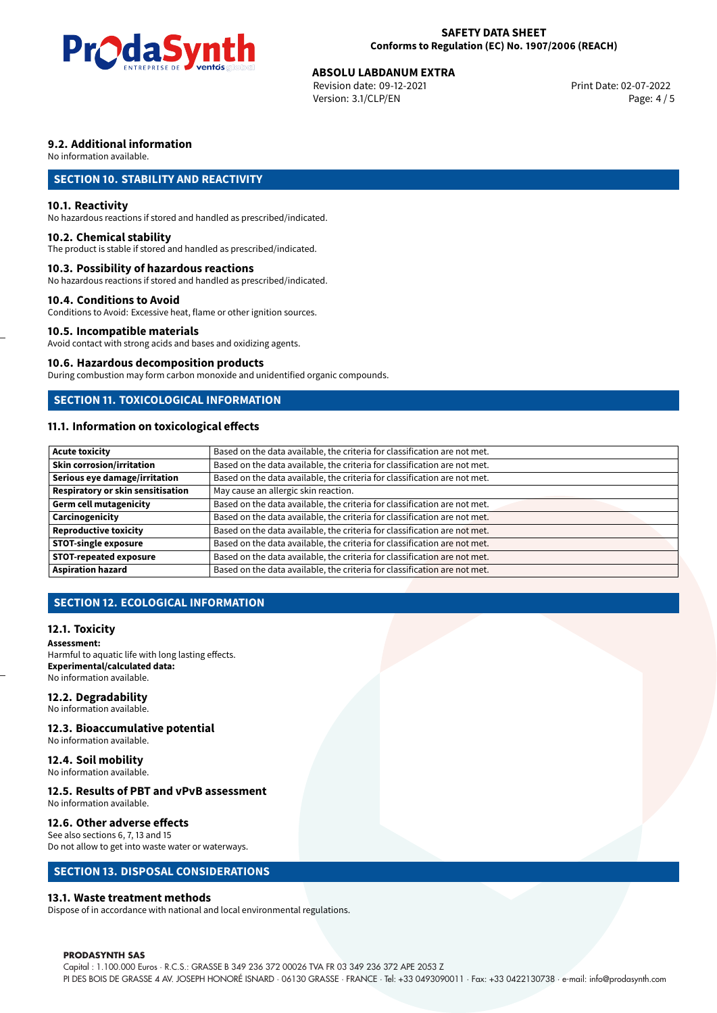

Revision date: 09-12-2021 Version: 3.1/CLP/EN Page: 4 / 5

# **9.2. Additional information**

No information available.

# **SECTION 10. STABILITY AND REACTIVITY**

#### **10.1. Reactivity**

No hazardous reactions if stored and handled as prescribed/indicated.

#### **10.2. Chemical stability**

The product is stable if stored and handled as prescribed/indicated.

#### **10.3. Possibility of hazardous reactions**

No hazardous reactions if stored and handled as prescribed/indicated.

#### **10.4. Conditions to Avoid**

Conditions to Avoid: Excessive heat, flame or other ignition sources.

### **10.5. Incompatible materials**

Avoid contact with strong acids and bases and oxidizing agents.

#### **10.6. Hazardous decomposition products**

During combustion may form carbon monoxide and unidentified organic compounds.

### **SECTION 11. TOXICOLOGICAL INFORMATION**

# **11.1. Information on toxicological effects**

| Acute toxicity                    | Based on the data available, the criteria for classification are not met. |
|-----------------------------------|---------------------------------------------------------------------------|
| <b>Skin corrosion/irritation</b>  | Based on the data available, the criteria for classification are not met. |
| Serious eye damage/irritation     | Based on the data available, the criteria for classification are not met. |
| Respiratory or skin sensitisation | May cause an allergic skin reaction.                                      |
| Germ cell mutagenicity            | Based on the data available, the criteria for classification are not met. |
| <b>Carcinogenicity</b>            | Based on the data available, the criteria for classification are not met. |
| Reproductive toxicity             | Based on the data available, the criteria for classification are not met. |
| STOT-single exposure              | Based on the data available, the criteria for classification are not met. |
| <b>STOT-repeated exposure</b>     | Based on the data available, the criteria for classification are not met. |
| <b>Aspiration hazard</b>          | Based on the data available, the criteria for classification are not met. |

# **SECTION 12. ECOLOGICAL INFORMATION**

#### **12.1. Toxicity**

**Assessment:** Harmful to aquatic life with long lasting effects. **Experimental/calculated data:** No information available.

#### **12.2. Degradability**

No information available.

#### **12.3. Bioaccumulative potential**

No information available.

# **12.4. Soil mobility**

No information available.

# **12.5. Results of PBT and vPvB assessment**

No information available.

#### **12.6. Other adverse effects**

See also sections 6, 7, 13 and 15 Do not allow to get into waste water or waterways.

#### **SECTION 13. DISPOSAL CONSIDERATIONS**

#### **13.1. Waste treatment methods**

Dispose of in accordance with national and local environmental regulations.

#### **PRODASYNTH SAS**

Capital : 1.100.000 Euros · R.C.S.: GRASSE B 349 236 372 00026 TVA FR 03 349 236 372 APE 2053 Z PI DES BOIS DE GRASSE 4 AV. JOSEPH HONORÉ ISNARD · 06130 GRASSE · FRANCE · Tel: +33 0493090011 · Fax: +33 0422130738 · e-mail: info@prodasynth.com